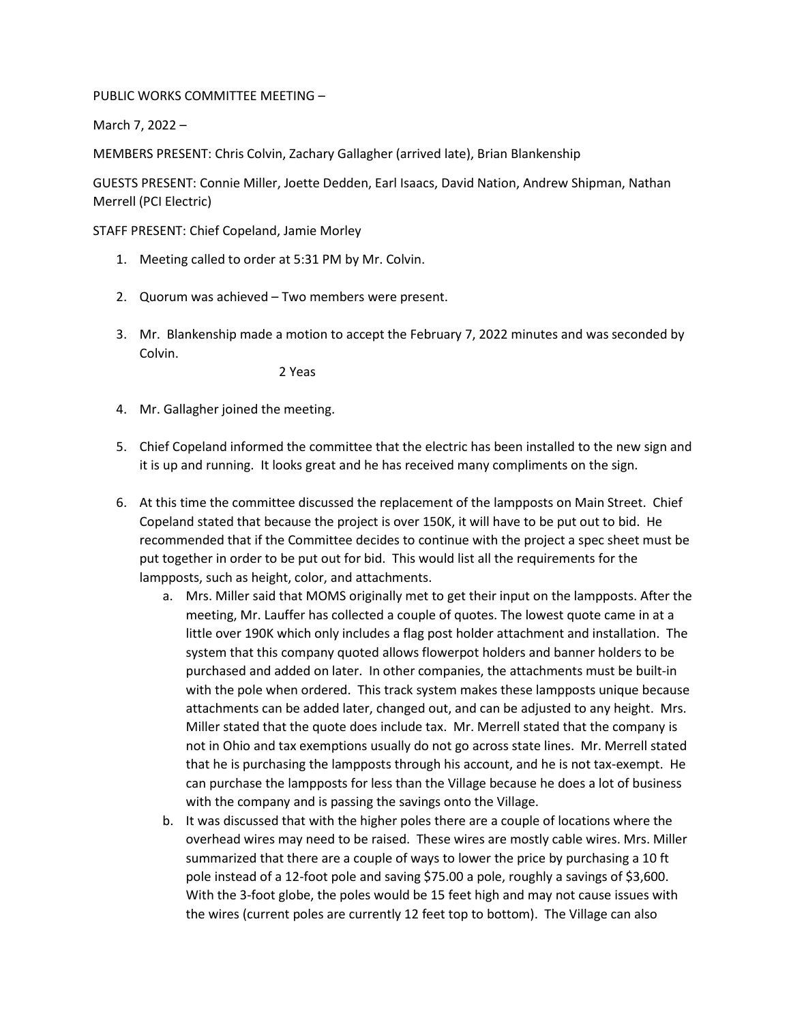## PUBLIC WORKS COMMITTEE MEETING –

March 7, 2022 –

MEMBERS PRESENT: Chris Colvin, Zachary Gallagher (arrived late), Brian Blankenship

GUESTS PRESENT: Connie Miller, Joette Dedden, Earl Isaacs, David Nation, Andrew Shipman, Nathan Merrell (PCI Electric)

STAFF PRESENT: Chief Copeland, Jamie Morley

- 1. Meeting called to order at 5:31 PM by Mr. Colvin.
- 2. Quorum was achieved Two members were present.
- 3. Mr. Blankenship made a motion to accept the February 7, 2022 minutes and was seconded by Colvin.

2 Yeas

- 4. Mr. Gallagher joined the meeting.
- 5. Chief Copeland informed the committee that the electric has been installed to the new sign and it is up and running. It looks great and he has received many compliments on the sign.
- 6. At this time the committee discussed the replacement of the lampposts on Main Street. Chief Copeland stated that because the project is over 150K, it will have to be put out to bid. He recommended that if the Committee decides to continue with the project a spec sheet must be put together in order to be put out for bid. This would list all the requirements for the lampposts, such as height, color, and attachments.
	- a. Mrs. Miller said that MOMS originally met to get their input on the lampposts. After the meeting, Mr. Lauffer has collected a couple of quotes. The lowest quote came in at a little over 190K which only includes a flag post holder attachment and installation. The system that this company quoted allows flowerpot holders and banner holders to be purchased and added on later. In other companies, the attachments must be built-in with the pole when ordered. This track system makes these lampposts unique because attachments can be added later, changed out, and can be adjusted to any height. Mrs. Miller stated that the quote does include tax. Mr. Merrell stated that the company is not in Ohio and tax exemptions usually do not go across state lines. Mr. Merrell stated that he is purchasing the lampposts through his account, and he is not tax-exempt. He can purchase the lampposts for less than the Village because he does a lot of business with the company and is passing the savings onto the Village.
	- b. It was discussed that with the higher poles there are a couple of locations where the overhead wires may need to be raised. These wires are mostly cable wires. Mrs. Miller summarized that there are a couple of ways to lower the price by purchasing a 10 ft pole instead of a 12-foot pole and saving \$75.00 a pole, roughly a savings of \$3,600. With the 3-foot globe, the poles would be 15 feet high and may not cause issues with the wires (current poles are currently 12 feet top to bottom). The Village can also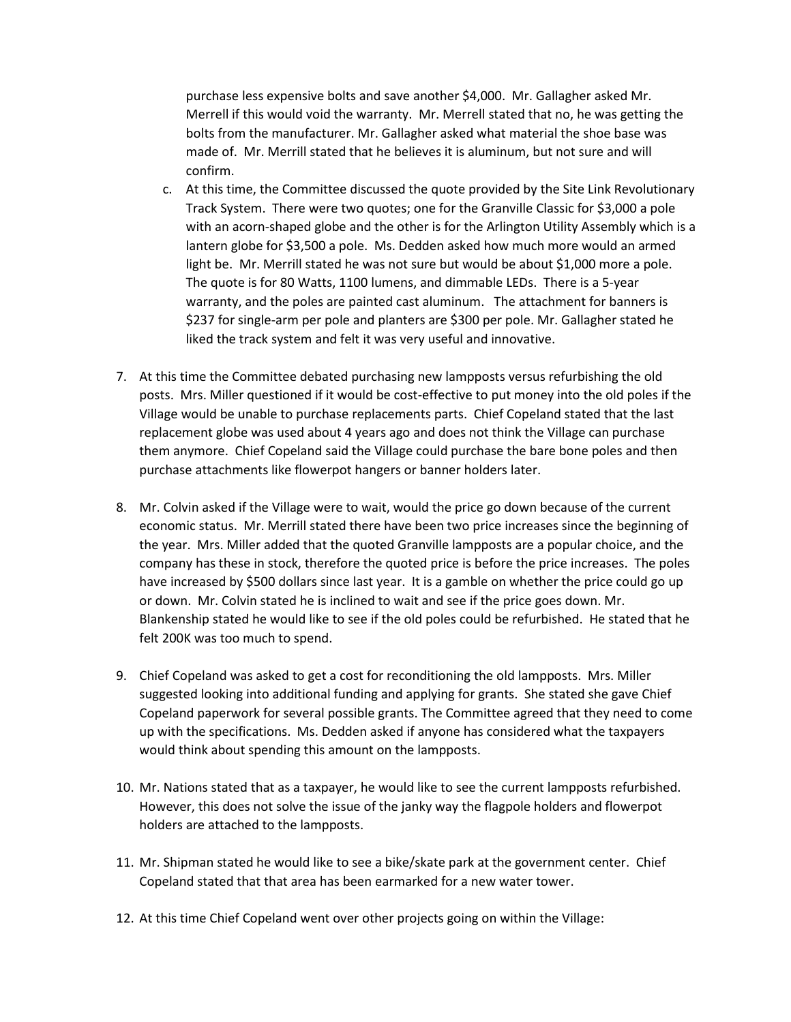purchase less expensive bolts and save another \$4,000. Mr. Gallagher asked Mr. Merrell if this would void the warranty. Mr. Merrell stated that no, he was getting the bolts from the manufacturer. Mr. Gallagher asked what material the shoe base was made of. Mr. Merrill stated that he believes it is aluminum, but not sure and will confirm.

- c. At this time, the Committee discussed the quote provided by the Site Link Revolutionary Track System. There were two quotes; one for the Granville Classic for \$3,000 a pole with an acorn-shaped globe and the other is for the Arlington Utility Assembly which is a lantern globe for \$3,500 a pole. Ms. Dedden asked how much more would an armed light be. Mr. Merrill stated he was not sure but would be about \$1,000 more a pole. The quote is for 80 Watts, 1100 lumens, and dimmable LEDs. There is a 5-year warranty, and the poles are painted cast aluminum. The attachment for banners is \$237 for single-arm per pole and planters are \$300 per pole. Mr. Gallagher stated he liked the track system and felt it was very useful and innovative.
- 7. At this time the Committee debated purchasing new lampposts versus refurbishing the old posts. Mrs. Miller questioned if it would be cost-effective to put money into the old poles if the Village would be unable to purchase replacements parts. Chief Copeland stated that the last replacement globe was used about 4 years ago and does not think the Village can purchase them anymore. Chief Copeland said the Village could purchase the bare bone poles and then purchase attachments like flowerpot hangers or banner holders later.
- 8. Mr. Colvin asked if the Village were to wait, would the price go down because of the current economic status. Mr. Merrill stated there have been two price increases since the beginning of the year. Mrs. Miller added that the quoted Granville lampposts are a popular choice, and the company has these in stock, therefore the quoted price is before the price increases. The poles have increased by \$500 dollars since last year. It is a gamble on whether the price could go up or down. Mr. Colvin stated he is inclined to wait and see if the price goes down. Mr. Blankenship stated he would like to see if the old poles could be refurbished. He stated that he felt 200K was too much to spend.
- 9. Chief Copeland was asked to get a cost for reconditioning the old lampposts. Mrs. Miller suggested looking into additional funding and applying for grants. She stated she gave Chief Copeland paperwork for several possible grants. The Committee agreed that they need to come up with the specifications. Ms. Dedden asked if anyone has considered what the taxpayers would think about spending this amount on the lampposts.
- 10. Mr. Nations stated that as a taxpayer, he would like to see the current lampposts refurbished. However, this does not solve the issue of the janky way the flagpole holders and flowerpot holders are attached to the lampposts.
- 11. Mr. Shipman stated he would like to see a bike/skate park at the government center. Chief Copeland stated that that area has been earmarked for a new water tower.
- 12. At this time Chief Copeland went over other projects going on within the Village: